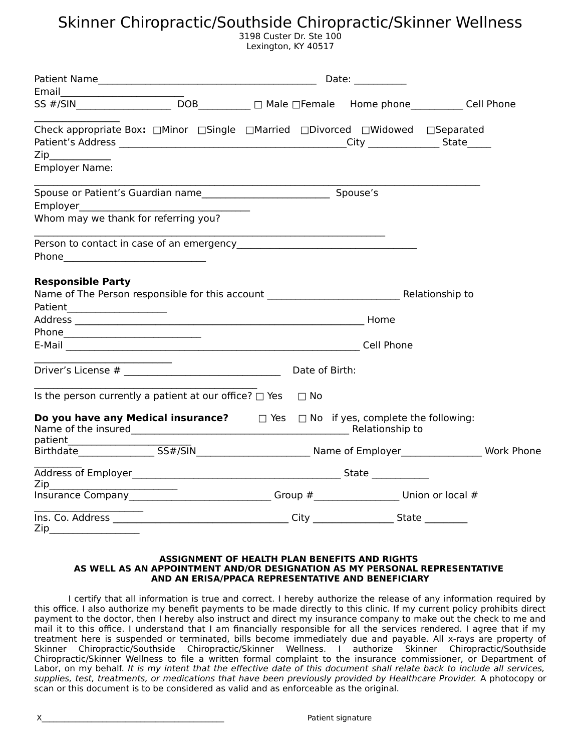3198 Custer Dr. Ste 100 Lexington, KY 40517

|                                                                                                                                                                                                                                                  |  | Date: $\_\_$ |  |
|--------------------------------------------------------------------------------------------------------------------------------------------------------------------------------------------------------------------------------------------------|--|--------------|--|
|                                                                                                                                                                                                                                                  |  |              |  |
| SS #/SIN<br>SS #/SIN<br>DOB<br>DOB<br>DOB<br>DNale  DFemale Home phone  Home phone  DOB  DNale  DFemale  Home phone  DOB  DNale  DFemale $\blacksquare$ Home phone  DOB  DOB  DOB  DOB  DOB  DNAle  DFemale $\blacksquare$ Home phone DNALE  DOB |  |              |  |
| Check appropriate Box: □Minor □Single □Married □Divorced □Widowed □Separated                                                                                                                                                                     |  |              |  |
| $\mathsf{Zip}\_\_$                                                                                                                                                                                                                               |  |              |  |
| <b>Employer Name:</b>                                                                                                                                                                                                                            |  |              |  |
|                                                                                                                                                                                                                                                  |  |              |  |
|                                                                                                                                                                                                                                                  |  |              |  |
| Whom may we thank for referring you?                                                                                                                                                                                                             |  |              |  |
|                                                                                                                                                                                                                                                  |  |              |  |
|                                                                                                                                                                                                                                                  |  |              |  |
|                                                                                                                                                                                                                                                  |  |              |  |
| E-Mail Cell Phone                                                                                                                                                                                                                                |  |              |  |
|                                                                                                                                                                                                                                                  |  |              |  |
| Is the person currently a patient at our office? $\Box$ Yes $\Box$ No                                                                                                                                                                            |  |              |  |
| <b>Do you have any Medical insurance?</b> $\Box$ Yes $\Box$ No if yes, complete the following:                                                                                                                                                   |  |              |  |
|                                                                                                                                                                                                                                                  |  |              |  |
|                                                                                                                                                                                                                                                  |  |              |  |
|                                                                                                                                                                                                                                                  |  |              |  |
| Zip<br>Insurance Company_______________________________Group #____________________Union or local #                                                                                                                                               |  |              |  |
|                                                                                                                                                                                                                                                  |  |              |  |
| Zip                                                                                                                                                                                                                                              |  |              |  |

#### **ASSIGNMENT OF HEALTH PLAN BENEFITS AND RIGHTS AS WELL AS AN APPOINTMENT AND/OR DESIGNATION AS MY PERSONAL REPRESENTATIVE AND AN ERISA/PPACA REPRESENTATIVE AND BENEFICIARY**

I certify that all information is true and correct. I hereby authorize the release of any information required by this office. I also authorize my benefit payments to be made directly to this clinic. If my current policy prohibits direct payment to the doctor, then I hereby also instruct and direct my insurance company to make out the check to me and mail it to this office. I understand that I am financially responsible for all the services rendered. I agree that if my treatment here is suspended or terminated, bills become immediately due and payable. All x-rays are property of Skinner Chiropractic/Southside Chiropractic/Skinner Wellness. I authorize Skinner Chiropractic/Southside Chiropractic/Skinner Wellness to file a written formal complaint to the insurance commissioner, or Department of Labor, on my behalf. It is my intent that the effective date of this document shall relate back to include all services, supplies, test, treatments, or medications that have been previously provided by Healthcare Provider. A photocopy or scan or this document is to be considered as valid and as enforceable as the original.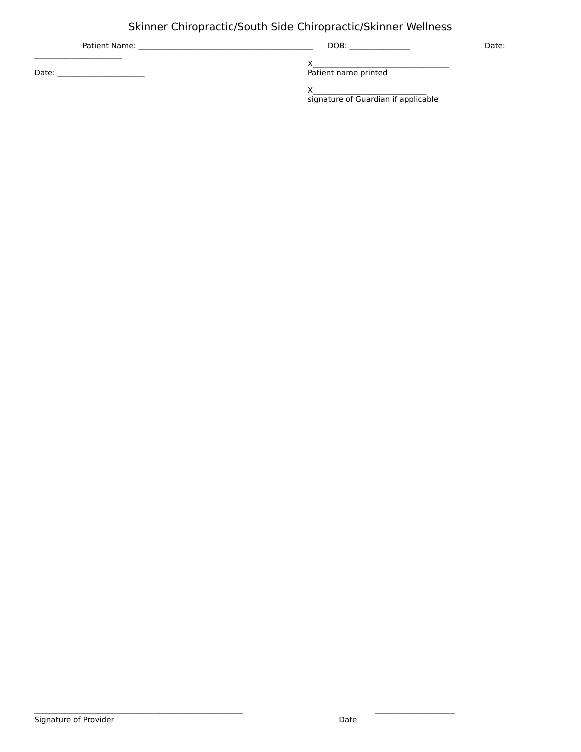| Patient Name: | DOB:                                | Date: |
|---------------|-------------------------------------|-------|
| Date:         | Patient name printed                |       |
|               | signature of Guardian if applicable |       |

 $\mathcal{L}_\text{max}$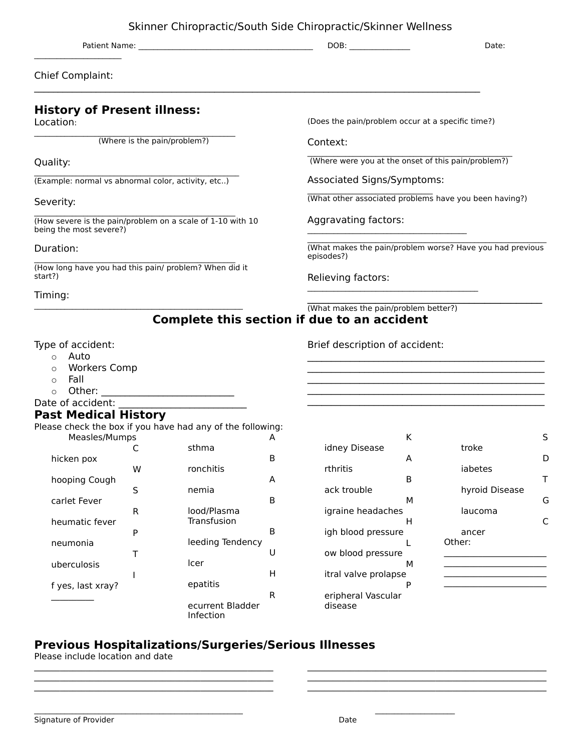Patient Name: \_\_\_\_\_\_\_\_\_\_\_\_\_\_\_\_\_\_\_\_\_\_\_\_\_\_\_\_\_\_\_\_\_\_\_\_\_\_\_\_\_\_\_\_\_\_ DOB: \_\_\_\_\_\_\_\_\_\_\_\_\_\_\_\_ Date:

Chief Complaint:

 $\mathcal{L}_\text{max}$ 

#### **History of Present illness:** Location: \_\_\_\_\_\_\_\_\_\_\_\_\_\_\_\_\_\_\_\_\_\_\_\_\_\_\_\_\_\_\_\_\_\_\_\_\_\_\_\_\_\_\_\_\_\_\_\_\_\_\_\_\_ (Where is the pain/problem?) Quality: \_\_\_\_\_\_\_\_\_\_\_\_\_\_\_\_\_\_\_\_\_\_\_\_\_\_\_\_\_\_\_\_\_\_\_\_\_\_\_\_\_\_\_\_\_\_\_\_\_\_\_\_\_\_ (Example: normal vs abnormal color, activity, etc..) Severity:  $\mathcal{L}_\text{max}$  and  $\mathcal{L}_\text{max}$  and  $\mathcal{L}_\text{max}$  and  $\mathcal{L}_\text{max}$  and  $\mathcal{L}_\text{max}$ (How severe is the pain/problem on a scale of 1-10 with 10 being the most severe?) Duration:  $\mathcal{L}_\text{max}$  and  $\mathcal{L}_\text{max}$  and  $\mathcal{L}_\text{max}$  and  $\mathcal{L}_\text{max}$  and  $\mathcal{L}_\text{max}$ (How long have you had this pain/ problem? When did it start?) Timing:  $\mathcal{L}_\text{max}$  and  $\mathcal{L}_\text{max}$  and  $\mathcal{L}_\text{max}$  and  $\mathcal{L}_\text{max}$  and  $\mathcal{L}_\text{max}$ (Does the pain/problem occur at a specific time?) Context:  $\mathcal{L}_\text{max}$  and  $\mathcal{L}_\text{max}$  and  $\mathcal{L}_\text{max}$  and  $\mathcal{L}_\text{max}$  and  $\mathcal{L}_\text{max}$  (Where were you at the onset of this pain/problem?) Associated Signs/Symptoms:  $\mathcal{L}_\text{max}$  and  $\mathcal{L}_\text{max}$  and  $\mathcal{L}_\text{max}$  and  $\mathcal{L}_\text{max}$ (What other associated problems have you been having?) Aggravating factors:  $\mathcal{L}_\text{max}$  and  $\mathcal{L}_\text{max}$  and  $\mathcal{L}_\text{max}$  and  $\mathcal{L}_\text{max}$  $\mathcal{L}_\text{max}$  and  $\mathcal{L}_\text{max}$  and  $\mathcal{L}_\text{max}$  and  $\mathcal{L}_\text{max}$  and  $\mathcal{L}_\text{max}$  and  $\mathcal{L}_\text{max}$ (What makes the pain/problem worse? Have you had previous episodes?) Relieving factors:  $\mathcal{L}_\text{max}$  and  $\mathcal{L}_\text{max}$  and  $\mathcal{L}_\text{max}$  and  $\mathcal{L}_\text{max}$ \_\_\_\_\_\_\_\_\_\_\_\_\_\_\_\_\_\_\_\_\_\_\_\_\_\_\_\_\_\_\_\_\_\_\_\_\_\_\_\_\_\_\_\_\_ (What makes the pain/problem better?)

### **Complete this section if due to an accident**

Brief description of accident:

#### Type of accident:

- o Auto
- o Workers Comp
- o Fall
- $\circ$  Other:
- Date of accident:

#### **Past Medical History**

Please check the box if you have had any of the following: Measles/Mumps C A sthma

| hicken pox        |   | ------                        | в |
|-------------------|---|-------------------------------|---|
|                   | w | ronchitis                     |   |
| hooping Cough     | S | nemia                         | А |
| carlet Fever      |   |                               | R |
|                   | R | lood/Plasma                   |   |
| heumatic fever    | P | Transfusion                   | B |
| neumonia          |   | leeding Tendency              |   |
|                   | т |                               | Ħ |
| uberculosis       |   | lcer                          | н |
| f yes, last xray? |   | epatitis                      |   |
|                   |   |                               | R |
|                   |   | ecurrent Bladder<br>Infection |   |

 $\mathcal{L}_\text{max} = \mathcal{L}_\text{max} = \mathcal{L}_\text{max} = \mathcal{L}_\text{max} = \mathcal{L}_\text{max} = \mathcal{L}_\text{max} = \mathcal{L}_\text{max} = \mathcal{L}_\text{max} = \mathcal{L}_\text{max} = \mathcal{L}_\text{max} = \mathcal{L}_\text{max} = \mathcal{L}_\text{max} = \mathcal{L}_\text{max} = \mathcal{L}_\text{max} = \mathcal{L}_\text{max} = \mathcal{L}_\text{max} = \mathcal{L}_\text{max} = \mathcal{L}_\text{max} = \mathcal{$  $\mathcal{L}_\text{max} = \mathcal{L}_\text{max} = \mathcal{L}_\text{max} = \mathcal{L}_\text{max} = \mathcal{L}_\text{max} = \mathcal{L}_\text{max} = \mathcal{L}_\text{max} = \mathcal{L}_\text{max} = \mathcal{L}_\text{max} = \mathcal{L}_\text{max} = \mathcal{L}_\text{max} = \mathcal{L}_\text{max} = \mathcal{L}_\text{max} = \mathcal{L}_\text{max} = \mathcal{L}_\text{max} = \mathcal{L}_\text{max} = \mathcal{L}_\text{max} = \mathcal{L}_\text{max} = \mathcal{$  $\mathcal{L}_\text{max} = \mathcal{L}_\text{max} = \mathcal{L}_\text{max} = \mathcal{L}_\text{max} = \mathcal{L}_\text{max} = \mathcal{L}_\text{max} = \mathcal{L}_\text{max} = \mathcal{L}_\text{max} = \mathcal{L}_\text{max} = \mathcal{L}_\text{max} = \mathcal{L}_\text{max} = \mathcal{L}_\text{max} = \mathcal{L}_\text{max} = \mathcal{L}_\text{max} = \mathcal{L}_\text{max} = \mathcal{L}_\text{max} = \mathcal{L}_\text{max} = \mathcal{L}_\text{max} = \mathcal{$ 

|                      | K |                | S |
|----------------------|---|----------------|---|
| idney Disease        |   | troke          |   |
|                      | A |                | D |
| rthritis             |   | iabetes        |   |
|                      | B |                | т |
| ack trouble          |   | hyroid Disease |   |
|                      | м |                | G |
| igraine headaches    |   | laucoma        |   |
|                      | н |                | C |
| igh blood pressure   |   | ancer          |   |
|                      |   | Other:         |   |
| ow blood pressure    |   |                |   |
|                      | м |                |   |
| itral valve prolapse |   |                |   |
|                      | P |                |   |
| eripheral Vascular   |   |                |   |
| disease              |   |                |   |

 $\mathcal{L}_\text{max} = \mathcal{L}_\text{max} = \mathcal{L}_\text{max} = \mathcal{L}_\text{max} = \mathcal{L}_\text{max} = \mathcal{L}_\text{max} = \mathcal{L}_\text{max} = \mathcal{L}_\text{max} = \mathcal{L}_\text{max} = \mathcal{L}_\text{max} = \mathcal{L}_\text{max} = \mathcal{L}_\text{max} = \mathcal{L}_\text{max} = \mathcal{L}_\text{max} = \mathcal{L}_\text{max} = \mathcal{L}_\text{max} = \mathcal{L}_\text{max} = \mathcal{L}_\text{max} = \mathcal{$  $\mathcal{L}_\text{max} = \mathcal{L}_\text{max} = \mathcal{L}_\text{max} = \mathcal{L}_\text{max} = \mathcal{L}_\text{max} = \mathcal{L}_\text{max} = \mathcal{L}_\text{max} = \mathcal{L}_\text{max} = \mathcal{L}_\text{max} = \mathcal{L}_\text{max} = \mathcal{L}_\text{max} = \mathcal{L}_\text{max} = \mathcal{L}_\text{max} = \mathcal{L}_\text{max} = \mathcal{L}_\text{max} = \mathcal{L}_\text{max} = \mathcal{L}_\text{max} = \mathcal{L}_\text{max} = \mathcal{$  $\mathcal{L}_\text{max} = \mathcal{L}_\text{max} = \mathcal{L}_\text{max} = \mathcal{L}_\text{max} = \mathcal{L}_\text{max} = \mathcal{L}_\text{max} = \mathcal{L}_\text{max} = \mathcal{L}_\text{max} = \mathcal{L}_\text{max} = \mathcal{L}_\text{max} = \mathcal{L}_\text{max} = \mathcal{L}_\text{max} = \mathcal{L}_\text{max} = \mathcal{L}_\text{max} = \mathcal{L}_\text{max} = \mathcal{L}_\text{max} = \mathcal{L}_\text{max} = \mathcal{L}_\text{max} = \mathcal{$ 

 $\mathcal{L}_\text{max}$  and the contract of the contract of the contract of the contract of the contract of the contract of the contract of the contract of the contract of the contract of the contract of the contract of the contrac  $\mathcal{L}_\text{max}$  and  $\mathcal{L}_\text{max}$  and  $\mathcal{L}_\text{max}$  and  $\mathcal{L}_\text{max}$  and  $\mathcal{L}_\text{max}$  $\mathcal{L}_\text{max}$  and  $\mathcal{L}_\text{max}$  and  $\mathcal{L}_\text{max}$  and  $\mathcal{L}_\text{max}$  and  $\mathcal{L}_\text{max}$  $\mathcal{L}_\text{max}$  and  $\mathcal{L}_\text{max}$  and  $\mathcal{L}_\text{max}$  and  $\mathcal{L}_\text{max}$  and  $\mathcal{L}_\text{max}$ 

### **Previous Hospitalizations/Surgeries/Serious Illnesses**

 $\mathcal{L}_\text{max}$ 

Please include location and date

| Signature of Provider | Date |
|-----------------------|------|
|                       |      |
|                       |      |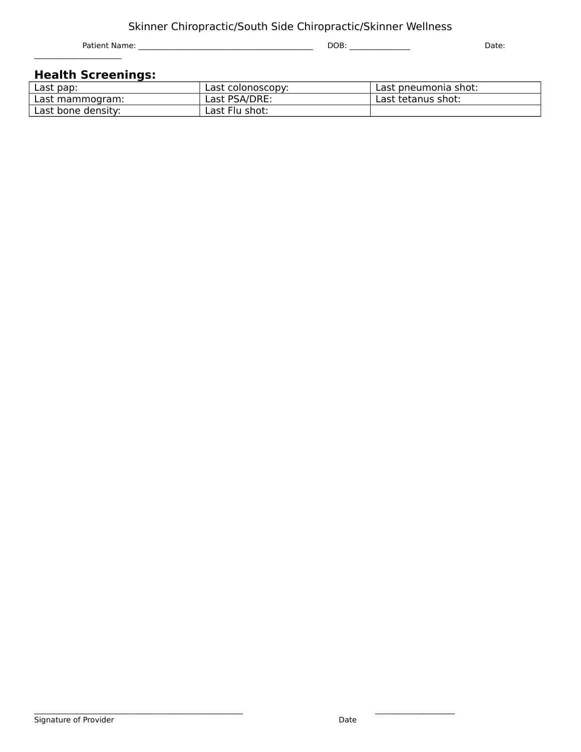Patient Name: \_\_\_\_\_\_\_\_\_\_\_\_\_\_\_\_\_\_\_\_\_\_\_\_\_\_\_\_\_\_\_\_\_\_\_\_\_\_\_\_\_\_\_\_\_\_ DOB: \_\_\_\_\_\_\_\_\_\_\_\_\_\_\_\_ Date:  $\mathcal{L}_\text{max}$ 

#### **Health Screenings:**

| Last pap:          | Last colonoscopy: | Last pneumonia shot: |
|--------------------|-------------------|----------------------|
| Last mammogram:    | Last PSA/DRE:     | Last tetanus shot:   |
| Last bone density: | Last Flu shot:    |                      |

 $\mathcal{L}_\text{max}$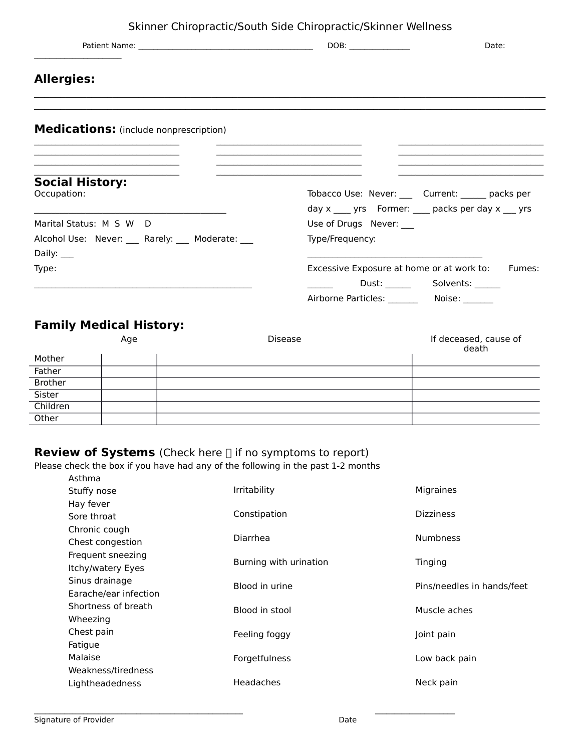| Date:                                                                                                                                                                                                                                       |
|---------------------------------------------------------------------------------------------------------------------------------------------------------------------------------------------------------------------------------------------|
|                                                                                                                                                                                                                                             |
|                                                                                                                                                                                                                                             |
|                                                                                                                                                                                                                                             |
| the control of the control of the control of the control of the control of the control of<br>the control of the control of the control of the control of the control of the control of<br>Tobacco Use: Never: ____ Current: _____ packs per |
| day $x$ ____ yrs Former: ____ packs per day $x$ ___ yrs<br>Use of Drugs Never: __                                                                                                                                                           |
| Excessive Exposure at home or at work to: Fumes:<br>Airborne Particles: Noise: Noise:                                                                                                                                                       |
|                                                                                                                                                                                                                                             |

#### **Family Medical History:** Age and Disease If deceased, cause of

|          |  | death |
|----------|--|-------|
| Mother   |  |       |
| Father   |  |       |
| Brother  |  |       |
| Sister   |  |       |
| Children |  |       |
| Other    |  |       |

### **Review of Systems** (Check here if no symptoms to report)

Please check the box if you have had any of the following in the past 1-2 months Asthma

| <b>A</b> JUILIU       |                        |                            |
|-----------------------|------------------------|----------------------------|
| Stuffy nose           | Irritability           | Migraines                  |
| Hay fever             |                        |                            |
| Sore throat           | Constipation           | <b>Dizziness</b>           |
| Chronic cough         |                        |                            |
| Chest congestion      | Diarrhea               | <b>Numbness</b>            |
| Frequent sneezing     | Burning with urination | Tinging                    |
| Itchy/watery Eyes     |                        |                            |
| Sinus drainage        | Blood in urine         | Pins/needles in hands/feet |
| Earache/ear infection |                        |                            |
| Shortness of breath   | Blood in stool         | Muscle aches               |
| Wheezing              |                        |                            |
| Chest pain            | Feeling foggy          | Joint pain                 |
| Fatigue               |                        |                            |
| Malaise               | Forgetfulness          | Low back pain              |
| Weakness/tiredness    |                        |                            |
| Lightheadedness       | <b>Headaches</b>       | Neck pain                  |